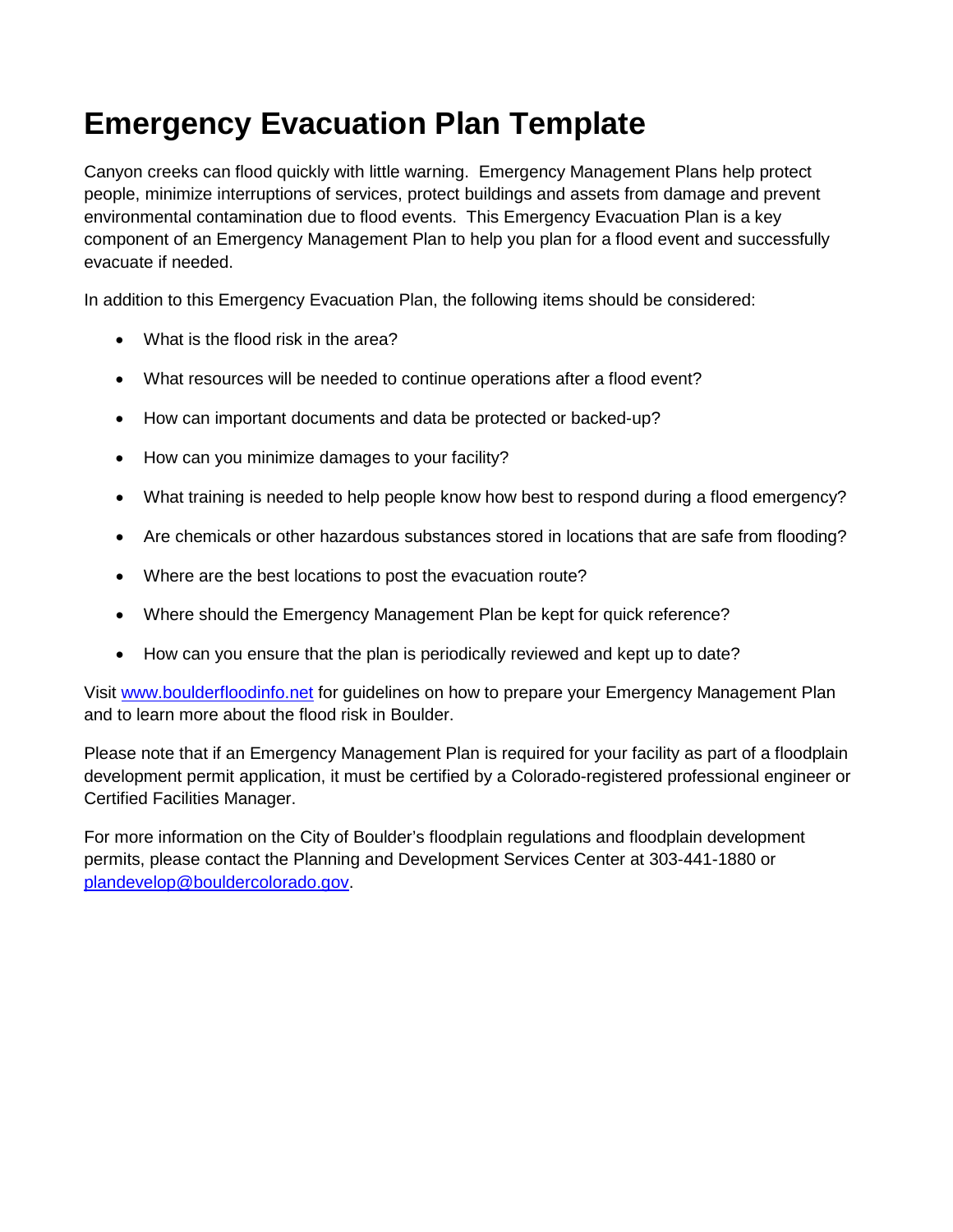# **Emergency Evacuation Plan Template**

Canyon creeks can flood quickly with little warning. Emergency Management Plans help protect people, minimize interruptions of services, protect buildings and assets from damage and prevent environmental contamination due to flood events. This Emergency Evacuation Plan is a key component of an Emergency Management Plan to help you plan for a flood event and successfully evacuate if needed.

In addition to this Emergency Evacuation Plan, the following items should be considered:

- What is the flood risk in the area?
- What resources will be needed to continue operations after a flood event?
- How can important documents and data be protected or backed-up?
- How can you minimize damages to your facility?
- What training is needed to help people know how best to respond during a flood emergency?
- Are chemicals or other hazardous substances stored in locations that are safe from flooding?
- Where are the best locations to post the evacuation route?
- Where should the Emergency Management Plan be kept for quick reference?
- How can you ensure that the plan is periodically reviewed and kept up to date?

Visit [www.boulderfloodinfo.net](http://www.boulderfloodinfo.net/) for guidelines on how to prepare your Emergency Management Plan and to learn more about the flood risk in Boulder.

Please note that if an Emergency Management Plan is required for your facility as part of a floodplain development permit application, it must be certified by a Colorado-registered professional engineer or Certified Facilities Manager.

For more information on the City of Boulder's floodplain regulations and floodplain development permits, please contact the Planning and Development Services Center at 303-441-1880 or [plandevelop@bouldercolorado.gov.](mailto:plandevelop@bouldercolorado.gov)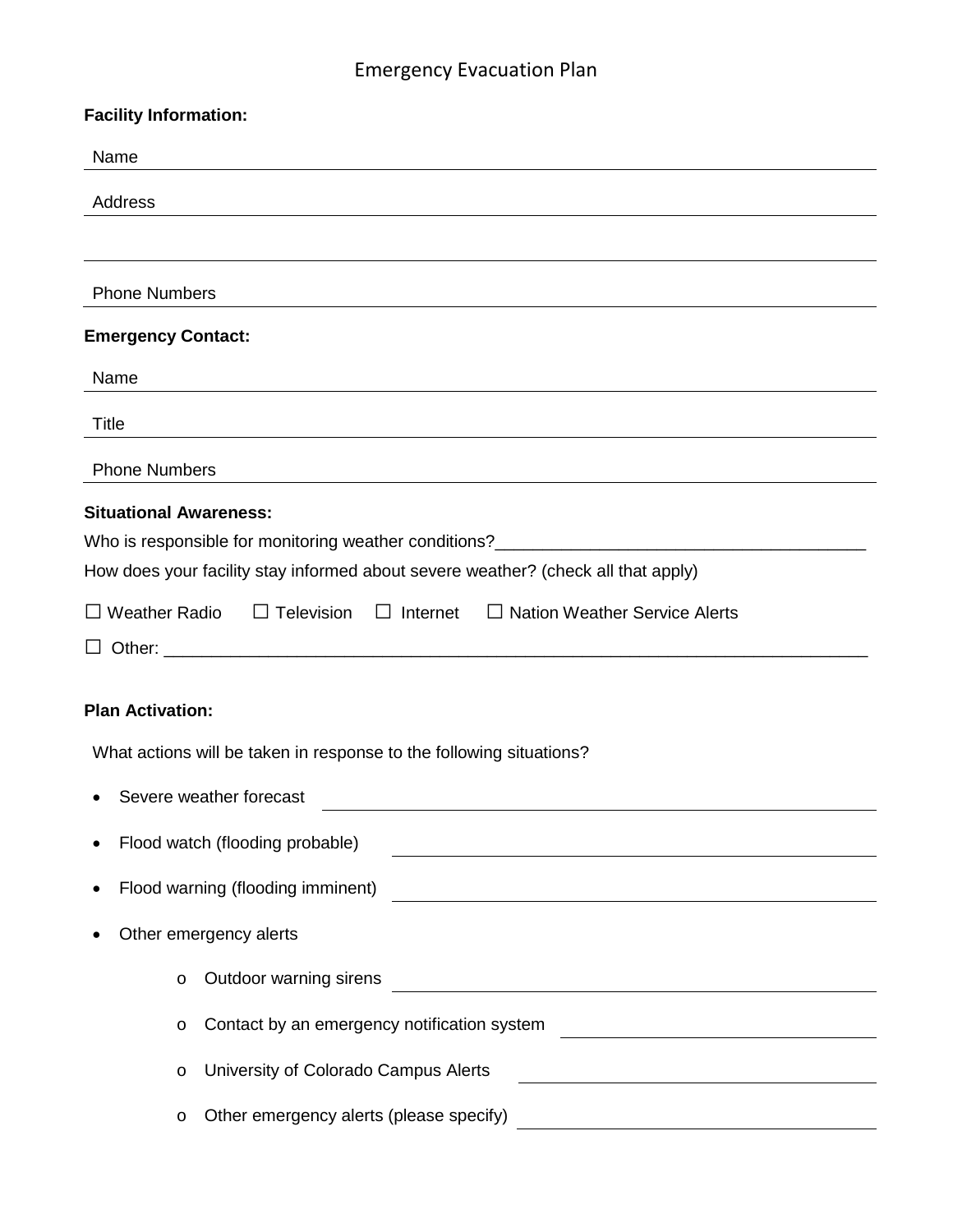## Emergency Evacuation Plan

| <b>Facility Information:</b>                                                                                                                                                                                                                                                                                 |
|--------------------------------------------------------------------------------------------------------------------------------------------------------------------------------------------------------------------------------------------------------------------------------------------------------------|
| Name                                                                                                                                                                                                                                                                                                         |
| Address                                                                                                                                                                                                                                                                                                      |
|                                                                                                                                                                                                                                                                                                              |
| <b>Phone Numbers</b>                                                                                                                                                                                                                                                                                         |
| <b>Emergency Contact:</b>                                                                                                                                                                                                                                                                                    |
| Name                                                                                                                                                                                                                                                                                                         |
| <b>Title</b>                                                                                                                                                                                                                                                                                                 |
| <b>Phone Numbers</b>                                                                                                                                                                                                                                                                                         |
| <b>Situational Awareness:</b><br>Who is responsible for monitoring weather conditions?____________________________<br>How does your facility stay informed about severe weather? (check all that apply)<br>$\Box$ Weather Radio<br>$\Box$ Television $\Box$ Internet<br>$\Box$ Nation Weather Service Alerts |
| ⊔                                                                                                                                                                                                                                                                                                            |
| <b>Plan Activation:</b>                                                                                                                                                                                                                                                                                      |
| What actions will be taken in response to the following situations?                                                                                                                                                                                                                                          |
| Severe weather forecast                                                                                                                                                                                                                                                                                      |
| Flood watch (flooding probable)<br><u> 1980 - Johann Barnett, fransk politik (d. 1980)</u>                                                                                                                                                                                                                   |
| Flood warning (flooding imminent)<br><u> 1980 - Johann Stoff, deutscher Stoff, der Stoff, der Stoff, der Stoff, der Stoff, der Stoff, der Stoff, der S</u>                                                                                                                                                   |
| Other emergency alerts                                                                                                                                                                                                                                                                                       |
| Outdoor warning sirens<br>O<br><u> 1980 - Johann Barn, amerikan besteman besteman besteman besteman besteman besteman besteman besteman besteman</u>                                                                                                                                                         |
| Contact by an emergency notification system<br>O                                                                                                                                                                                                                                                             |
| University of Colorado Campus Alerts<br>O                                                                                                                                                                                                                                                                    |
| Other emergency alerts (please specify)<br>O                                                                                                                                                                                                                                                                 |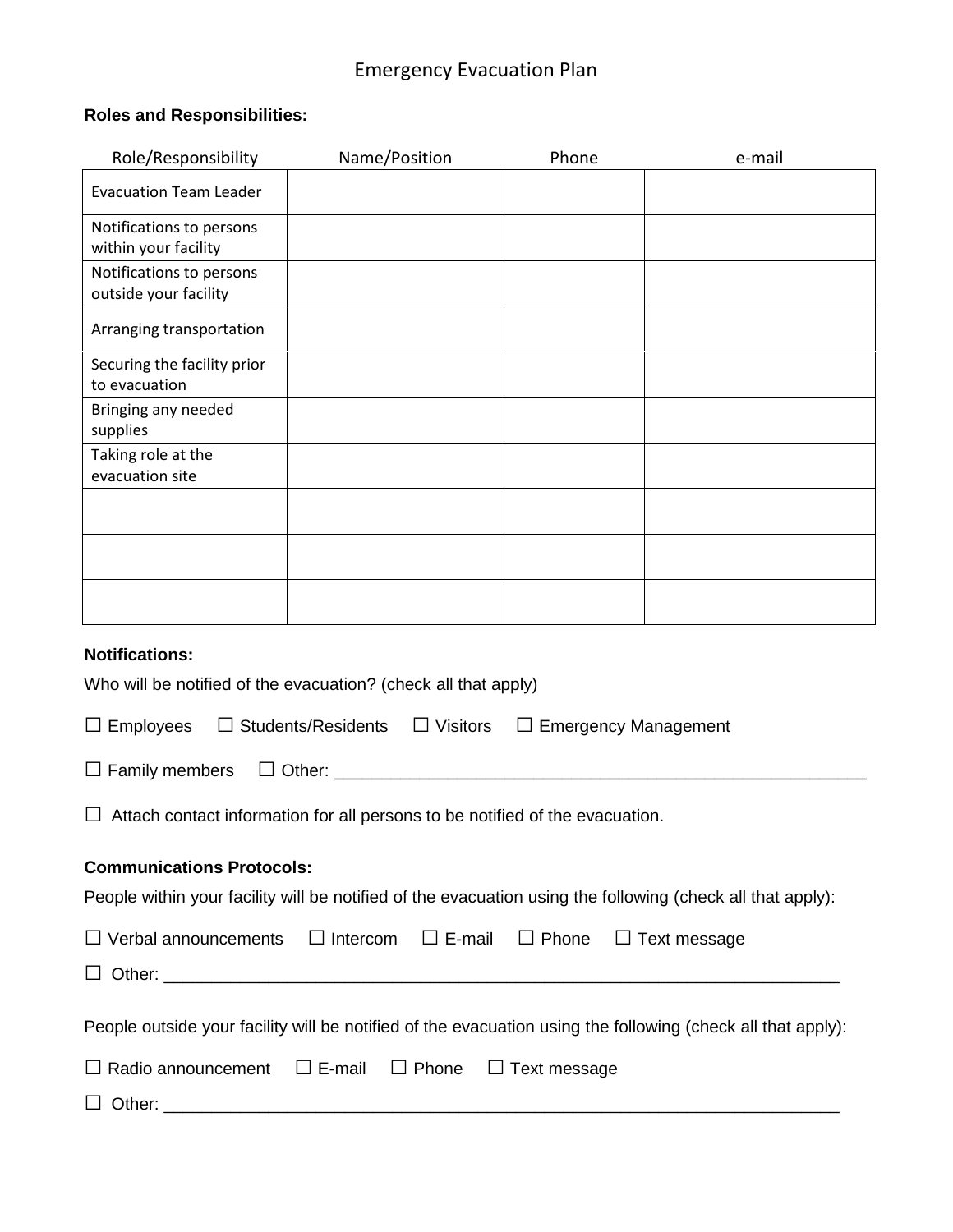## Emergency Evacuation Plan

#### **Roles and Responsibilities:**

| Role/Responsibility                                                                                       | Name/Position                                                                                               | Phone        | e-mail              |  |  |
|-----------------------------------------------------------------------------------------------------------|-------------------------------------------------------------------------------------------------------------|--------------|---------------------|--|--|
| <b>Evacuation Team Leader</b>                                                                             |                                                                                                             |              |                     |  |  |
| Notifications to persons<br>within your facility                                                          |                                                                                                             |              |                     |  |  |
| Notifications to persons<br>outside your facility                                                         |                                                                                                             |              |                     |  |  |
| Arranging transportation                                                                                  |                                                                                                             |              |                     |  |  |
| Securing the facility prior<br>to evacuation                                                              |                                                                                                             |              |                     |  |  |
| Bringing any needed<br>supplies                                                                           |                                                                                                             |              |                     |  |  |
| Taking role at the<br>evacuation site                                                                     |                                                                                                             |              |                     |  |  |
|                                                                                                           |                                                                                                             |              |                     |  |  |
|                                                                                                           |                                                                                                             |              |                     |  |  |
|                                                                                                           |                                                                                                             |              |                     |  |  |
| <b>Notifications:</b>                                                                                     |                                                                                                             |              |                     |  |  |
| Who will be notified of the evacuation? (check all that apply)                                            |                                                                                                             |              |                     |  |  |
| <b>Students/Residents</b><br>$\Box$ Visitors<br>$\Box$ Employees<br>$\Box$ Emergency Management<br>$\Box$ |                                                                                                             |              |                     |  |  |
| $\Box$ Other:<br>$\Box$ Family members                                                                    |                                                                                                             |              |                     |  |  |
| Attach contact information for all persons to be notified of the evacuation.                              |                                                                                                             |              |                     |  |  |
| <b>Communications Protocols:</b>                                                                          |                                                                                                             |              |                     |  |  |
|                                                                                                           | People within your facility will be notified of the evacuation using the following (check all that apply):  |              |                     |  |  |
| $\Box$ Verbal announcements                                                                               | $\Box$ Intercom<br>$\Box$ E-mail                                                                            | $\Box$ Phone | $\Box$ Text message |  |  |
| ⊔                                                                                                         |                                                                                                             |              |                     |  |  |
|                                                                                                           | People outside your facility will be notified of the evacuation using the following (check all that apply): |              |                     |  |  |
| $\Box$ E-mail<br>$\Box$ Phone<br>$\Box$ Text message<br>$\Box$ Radio announcement                         |                                                                                                             |              |                     |  |  |
|                                                                                                           |                                                                                                             |              |                     |  |  |